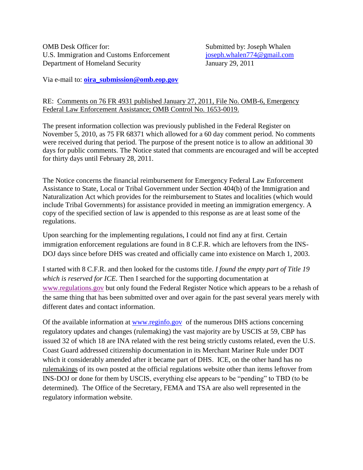OMB Desk Officer for: Submitted by: Joseph Whalen U.S. Immigration and Customs Enforcement [joseph.whalen774@gmail.com](mailto:joseph.whalen774@gmail.com) Department of Homeland Security January 29, 2011

Via e-mail to: **[oira\\_submission@omb.eop.gov](mailto:oira_submission@omb.eop.gov)**

### RE: Comments on 76 FR 4931 published January 27, 2011, File No. OMB-6, Emergency Federal Law Enforcement Assistance; OMB Control No. 1653-0019.

The present information collection was previously published in the Federal Register on November 5, 2010, as 75 FR 68371 which allowed for a 60 day comment period. No comments were received during that period. The purpose of the present notice is to allow an additional 30 days for public comments. The Notice stated that comments are encouraged and will be accepted for thirty days until February 28, 2011.

The Notice concerns the financial reimbursement for Emergency Federal Law Enforcement Assistance to State, Local or Tribal Government under Section 404(b) of the Immigration and Naturalization Act which provides for the reimbursement to States and localities (which would include Tribal Governments) for assistance provided in meeting an immigration emergency. A copy of the specified section of law is appended to this response as are at least some of the regulations.

Upon searching for the implementing regulations, I could not find any at first. Certain immigration enforcement regulations are found in 8 C.F.R. which are leftovers from the INS-DOJ days since before DHS was created and officially came into existence on March 1, 2003.

I started with 8 C.F.R. and then looked for the customs title. *I found the empty part of Title 19 which is reserved for ICE.* Then I searched for the supporting documentation at [www.regulations.gov](http://www.regulations.gov/) but only found the Federal Register Notice which appears to be a rehash of the same thing that has been submitted over and over again for the past several years merely with different dates and contact information.

Of the available information at [www.reginfo.gov](http://www.reginfo.gov/) of the numerous DHS actions concerning regulatory updates and changes (rulemaking) the vast majority are by USCIS at 59, CBP has issued 32 of which 18 are INA related with the rest being strictly customs related, even the U.S. Coast Guard addressed citizenship documentation in its Merchant Mariner Rule under DOT which it considerably amended after it became part of DHS. ICE, on the other hand has no rulemakings of its own posted at the official regulations website other than items leftover from INS-DOJ or done for them by USCIS, everything else appears to be "pending" to TBD (to be determined). The Office of the Secretary, FEMA and TSA are also well represented in the regulatory information website.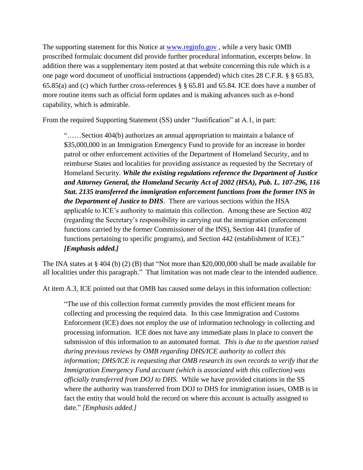The supporting statement for this Notice at [www.reginfo.gov](http://www.reginfo.gov/) , while a very basic OMB proscribed formulaic document did provide further procedural information, excerpts below. In addition there was a supplementary item posted at that website concerning this rule which is a one page word document of unofficial instructions (appended) which cites 28 C.F.R. § § 65.83, 65.85(a) and (c) which further cross-references § § 65.81 and 65.84. ICE does have a number of more routine items such as official form updates and is making advances such as e-bond capability, which is admirable.

From the required Supporting Statement (SS) under "Justification" at A.1, in part:

"……Section 404(b) authorizes an annual appropriation to maintain a balance of \$35,000,000 in an Immigration Emergency Fund to provide for an increase in border patrol or other enforcement activities of the Department of Homeland Security, and to reimburse States and localities for providing assistance as requested by the Secretary of Homeland Security. *While the existing regulations reference the Department of Justice and Attorney General, the Homeland Security Act of 2002 (HSA), Pub. L. 107-296, 116 Stat. 2135 transferred the immigration enforcement functions from the former INS in the Department of Justice to DHS.* There are various sections within the HSA applicable to ICE's authority to maintain this collection. Among these are Section 402 (regarding the Secretary's responsibility in carrying out the immigration enforcement functions carried by the former Commissioner of the INS), Section 441 (transfer of functions pertaining to specific programs), and Section 442 (establishment of ICE)." *[Emphasis added.]*

The INA states at § 404 (b) (2) (B) that "Not more than \$20,000,000 shall be made available for all localities under this paragraph." That limitation was not made clear to the intended audience.

At item A.3, ICE pointed out that OMB has caused some delays in this information collection:

"The use of this collection format currently provides the most efficient means for collecting and processing the required data. In this case Immigration and Customs Enforcement (ICE) does not employ the use of information technology in collecting and processing information. ICE does not have any immediate plans in place to convert the submission of this information to an automated format. *This is due to the question raised during previous reviews by OMB regarding DHS/ICE authority to collect this information; DHS/ICE is requesting that OMB research its own records to verify that the Immigration Emergency Fund account (which is associated with this collection) was officially transferred from DOJ to DHS.* While we have provided citations in the SS where the authority was transferred from DOJ to DHS for immigration issues, OMB is in fact the entity that would hold the record on where this account is actually assigned to date." *[Emphasis added.]*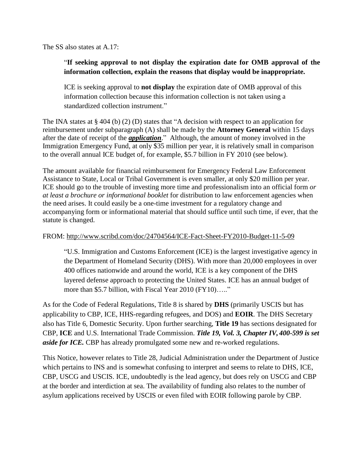The SS also states at A.17:

# "**If seeking approval to not display the expiration date for OMB approval of the information collection, explain the reasons that display would be inappropriate.**

ICE is seeking approval to **not display** the expiration date of OMB approval of this information collection because this information collection is not taken using a standardized collection instrument."

The INA states at § 404 (b) (2) (D) states that "A decision with respect to an application for reimbursement under subparagraph (A) shall be made by the **Attorney General** within 15 days after the date of receipt of the *application*." Although, the amount of money involved in the Immigration Emergency Fund, at only \$35 million per year, it is relatively small in comparison to the overall annual ICE budget of, for example, \$5.7 billion in FY 2010 (see below).

The amount available for financial reimbursement for Emergency Federal Law Enforcement Assistance to State, Local or Tribal Government is even smaller, at only \$20 million per year. ICE should go to the trouble of investing more time and professionalism into an official form *or at least a brochure or informational booklet* for distribution to law enforcement agencies when the need arises. It could easily be a one-time investment for a regulatory change and accompanying form or informational material that should suffice until such time, if ever, that the statute is changed.

### FROM:<http://www.scribd.com/doc/24704564/ICE-Fact-Sheet-FY2010-Budget-11-5-09>

"U.S. Immigration and Customs Enforcement (ICE) is the largest investigative agency in the Department of Homeland Security (DHS). With more than 20,000 employees in over 400 offices nationwide and around the world, ICE is a key component of the DHS layered defense approach to protecting the United States. ICE has an annual budget of more than \$5.7 billion, with Fiscal Year 2010 (FY10)….."

As for the Code of Federal Regulations, Title 8 is shared by **DHS** (primarily USCIS but has applicability to CBP, ICE, HHS-regarding refugees, and DOS) and **EOIR**. The DHS Secretary also has Title 6, Domestic Security. Upon further searching, **Title 19** has sections designated for CBP, **ICE** and U.S. International Trade Commission. *Title 19, Vol. 3, Chapter IV, [400-599](http://ecfr.gpoaccess.gov/cgi/t/text/text-idx?sid=441028484e8181ee7d99a0ab936148fd&c=ecfr&tpl=/ecfrbrowse/Title19/19cfrv3_02.tpl#400) is set aside for ICE*. CBP has already promulgated some new and re-worked regulations.

This Notice, however relates to Title 28, Judicial Administration under the Department of Justice which pertains to INS and is somewhat confusing to interpret and seems to relate to DHS, ICE, CBP, USCG and USCIS. ICE, undoubtedly is the lead agency, but does rely on USCG and CBP at the border and interdiction at sea. The availability of funding also relates to the number of asylum applications received by USCIS or even filed with EOIR following parole by CBP.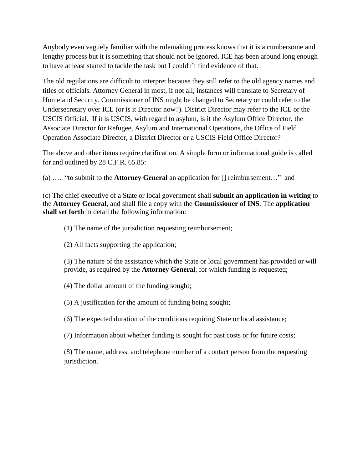Anybody even vaguely familiar with the rulemaking process knows that it is a cumbersome and lengthy process but it is something that should not be ignored. ICE has been around long enough to have at least started to tackle the task but I couldn't find evidence of that.

The old regulations are difficult to interpret because they still refer to the old agency names and titles of officials. Attorney General in most, if not all, instances will translate to Secretary of Homeland Security. Commissioner of INS might be changed to Secretary or could refer to the Undersecretary over ICE (or is it Director now?). District Director may refer to the ICE or the USCIS Official. If it is USCIS, with regard to asylum, is it the Asylum Office Director, the Associate Director for Refugee, Asylum and International Operations, the Office of Field Operation Associate Director, a District Director or a USCIS Field Office Director?

The above and other items require clarification. A simple form or informational guide is called for and outlined by 28 C.F.R. 65.85:

(a) ….. "to submit to the **Attorney General** an application for [] reimbursement…" and

(c) The chief executive of a State or local government shall **submit an application in writing** to the **Attorney General**, and shall file a copy with the **Commissioner of INS**. The **application shall set forth** in detail the following information:

(1) The name of the jurisdiction requesting reimbursement;

(2) All facts supporting the application;

(3) The nature of the assistance which the State or local government has provided or will provide, as required by the **Attorney General**, for which funding is requested;

(4) The dollar amount of the funding sought;

(5) A justification for the amount of funding being sought;

(6) The expected duration of the conditions requiring State or local assistance;

(7) Information about whether funding is sought for past costs or for future costs;

(8) The name, address, and telephone number of a contact person from the requesting jurisdiction.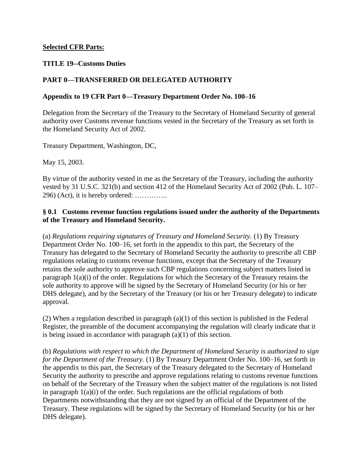### **Selected CFR Parts:**

### **TITLE 19--Customs Duties**

### **[PART 0—TRANSFERRED OR DELEGATED AUTHORITY](http://ecfr.gpoaccess.gov/cgi/t/text/text-idx?c=ecfr;sid=3bb7757748ca87fed71c345c8af56d0f;rgn=div5;view=text;node=19%3A1.0.1.1.1;idno=19;cc=ecfr)**

### **Appendix to 19 CFR Part 0—Treasury Department Order No. 100–16**

Delegation from the Secretary of the Treasury to the Secretary of Homeland Security of general authority over Customs revenue functions vested in the Secretary of the Treasury as set forth in the Homeland Security Act of 2002.

Treasury Department, Washington, DC,

May 15, 2003.

By virtue of the authority vested in me as the Secretary of the Treasury, including the authority vested by 31 U.S.C. 321(b) and section 412 of the Homeland Security Act of 2002 (Pub. L. 107– 296) (Act), it is hereby ordered: …………..

### **§ 0.1 Customs revenue function regulations issued under the authority of the Departments of the Treasury and Homeland Security.**

(a) *Regulations requiring signatures of Treasury and Homeland Security.* (1) By Treasury Department Order No. 100–16, set forth in the appendix to this part, the Secretary of the Treasury has delegated to the Secretary of Homeland Security the authority to prescribe all CBP regulations relating to customs revenue functions, except that the Secretary of the Treasury retains the sole authority to approve such CBP regulations concerning subject matters listed in paragraph 1(a)(i) of the order. Regulations for which the Secretary of the Treasury retains the sole authority to approve will be signed by the Secretary of Homeland Security (or his or her DHS delegate), and by the Secretary of the Treasury (or his or her Treasury delegate) to indicate approval.

(2) When a regulation described in paragraph (a)(1) of this section is published in the Federal Register, the preamble of the document accompanying the regulation will clearly indicate that it is being issued in accordance with paragraph (a)(1) of this section.

(b) *Regulations with respect to which the Department of Homeland Security is authorized to sign for the Department of the Treasury.* (1) By Treasury Department Order No. 100–16, set forth in the appendix to this part, the Secretary of the Treasury delegated to the Secretary of Homeland Security the authority to prescribe and approve regulations relating to customs revenue functions on behalf of the Secretary of the Treasury when the subject matter of the regulations is not listed in paragraph  $1(a)(i)$  of the order. Such regulations are the official regulations of both Departments notwithstanding that they are not signed by an official of the Department of the Treasury. These regulations will be signed by the Secretary of Homeland Security (or his or her DHS delegate).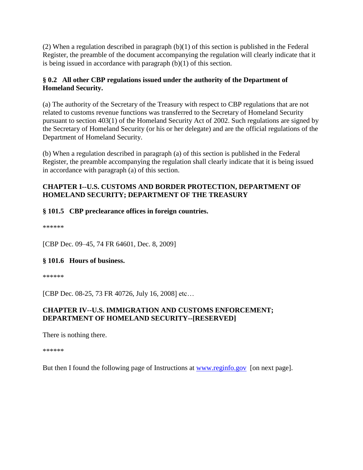(2) When a regulation described in paragraph  $(b)(1)$  of this section is published in the Federal Register, the preamble of the document accompanying the regulation will clearly indicate that it is being issued in accordance with paragraph (b)(1) of this section.

# **§ 0.2 All other CBP regulations issued under the authority of the Department of Homeland Security.**

(a) The authority of the Secretary of the Treasury with respect to CBP regulations that are not related to customs revenue functions was transferred to the Secretary of Homeland Security pursuant to section 403(1) of the Homeland Security Act of 2002. Such regulations are signed by the Secretary of Homeland Security (or his or her delegate) and are the official regulations of the Department of Homeland Security.

(b) When a regulation described in paragraph (a) of this section is published in the Federal Register, the preamble accompanying the regulation shall clearly indicate that it is being issued in accordance with paragraph (a) of this section.

# **CHAPTER I--U.S. CUSTOMS AND BORDER PROTECTION, DEPARTMENT OF HOMELAND SECURITY; DEPARTMENT OF THE TREASURY**

# **§ 101.5 CBP preclearance offices in foreign countries.**

\*\*\*\*\*\*

[CBP Dec. 09–45, 74 FR 64601, Dec. 8, 2009]

# **§ 101.6 Hours of business.**

\*\*\*\*\*\*

[CBP Dec. 08-25, 73 FR 40726, July 16, 2008] etc...

# **CHAPTER IV--U.S. IMMIGRATION AND CUSTOMS ENFORCEMENT; DEPARTMENT OF HOMELAND SECURITY--[RESERVED]**

There is nothing there.

\*\*\*\*\*\*

But then I found the following page of Instructions at [www.reginfo.gov](http://www.reginfo.gov/) [on next page].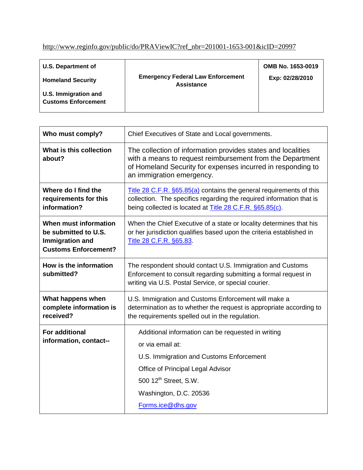# [http://www.reginfo.gov/public/do/PRAViewIC?ref\\_nbr=201001-1653-001&icID=20997](http://www.reginfo.gov/public/do/PRAViewIC?ref_nbr=201001-1653-001&icID=20997)

| <b>U.S. Department of</b>                          |                                                        | OMB No. 1653-0019 |
|----------------------------------------------------|--------------------------------------------------------|-------------------|
| <b>Homeland Security</b>                           | <b>Emergency Federal Law Enforcement</b><br>Assistance | Exp: 02/28/2010   |
| U.S. Immigration and<br><b>Customs Enforcement</b> |                                                        |                   |

| Chief Executives of State and Local governments.                                                                                                                                                                                            |  |
|---------------------------------------------------------------------------------------------------------------------------------------------------------------------------------------------------------------------------------------------|--|
| The collection of information provides states and localities<br>with a means to request reimbursement from the Department<br>of Homeland Security for expenses incurred in responding to<br>an immigration emergency.                       |  |
| Title 28 C.F.R. §65.85(a) contains the general requirements of this<br>collection. The specifics regarding the required information that is<br>being collected is located at Title 28 C.F.R. §65.85(c).                                     |  |
| When the Chief Executive of a state or locality determines that his<br>or her jurisdiction qualifies based upon the criteria established in<br>Title 28 C.F.R. §65.83                                                                       |  |
| The respondent should contact U.S. Immigration and Customs<br>Enforcement to consult regarding submitting a formal request in<br>writing via U.S. Postal Service, or special courier.                                                       |  |
| U.S. Immigration and Customs Enforcement will make a<br>determination as to whether the request is appropriate according to<br>the requirements spelled out in the regulation.                                                              |  |
| Additional information can be requested in writing<br>or via email at:<br>U.S. Immigration and Customs Enforcement<br>Office of Principal Legal Advisor<br>500 12 <sup>th</sup> Street, S.W.<br>Washington, D.C. 20536<br>Forms.ice@dhs.gov |  |
|                                                                                                                                                                                                                                             |  |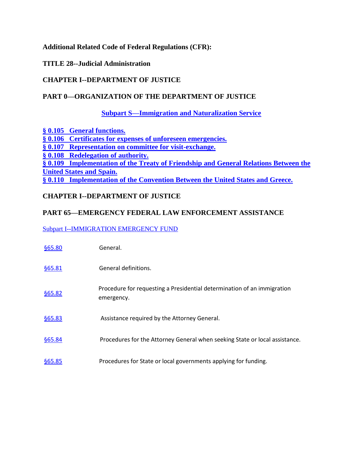**Additional Related Code of Federal Regulations (CFR):** 

**TITLE 28--Judicial Administration**

# **CHAPTER I--DEPARTMENT OF JUSTICE**

# **PART 0—ORGANIZATION OF THE DEPARTMENT OF JUSTICE**

**[Subpart S—Immigration and Naturalization Service](http://ecfr.gpoaccess.gov/cgi/t/text/text-idx?c=ecfr&sid=1530ab5da4e9f7ef7b149a6d85385a07&rgn=div5&view=text&node=28:1.0.1.1.1&idno=28#28:1.0.1.1.1.32)**

**§ [0.105 General functions.](http://ecfr.gpoaccess.gov/cgi/t/text/text-idx?c=ecfr&sid=1530ab5da4e9f7ef7b149a6d85385a07&rgn=div5&view=text&node=28:1.0.1.1.1&idno=28#28:1.0.1.1.1.32.1.1) § [0.106 Certificates for expenses of unforeseen emergencies.](http://ecfr.gpoaccess.gov/cgi/t/text/text-idx?c=ecfr&sid=1530ab5da4e9f7ef7b149a6d85385a07&rgn=div5&view=text&node=28:1.0.1.1.1&idno=28#28:1.0.1.1.1.32.1.2) § [0.107 Representation on committee for visit-exchange.](http://ecfr.gpoaccess.gov/cgi/t/text/text-idx?c=ecfr&sid=1530ab5da4e9f7ef7b149a6d85385a07&rgn=div5&view=text&node=28:1.0.1.1.1&idno=28#28:1.0.1.1.1.32.1.3) § [0.108 Redelegation of authority.](http://ecfr.gpoaccess.gov/cgi/t/text/text-idx?c=ecfr&sid=1530ab5da4e9f7ef7b149a6d85385a07&rgn=div5&view=text&node=28:1.0.1.1.1&idno=28#28:1.0.1.1.1.32.1.4) § 0.109 Implementation of [the Treaty of Friendship and General Relations Between the](http://ecfr.gpoaccess.gov/cgi/t/text/text-idx?c=ecfr&sid=1530ab5da4e9f7ef7b149a6d85385a07&rgn=div5&view=text&node=28:1.0.1.1.1&idno=28#28:1.0.1.1.1.32.1.5)  [United States and Spain.](http://ecfr.gpoaccess.gov/cgi/t/text/text-idx?c=ecfr&sid=1530ab5da4e9f7ef7b149a6d85385a07&rgn=div5&view=text&node=28:1.0.1.1.1&idno=28#28:1.0.1.1.1.32.1.5) § [0.110 Implementation of the Convention Between the United States and Greece.](http://ecfr.gpoaccess.gov/cgi/t/text/text-idx?c=ecfr&sid=1530ab5da4e9f7ef7b149a6d85385a07&rgn=div5&view=text&node=28:1.0.1.1.1&idno=28#28:1.0.1.1.1.32.1.6)**

# **CHAPTER I--DEPARTMENT OF JUSTICE**

### **PART 65—EMERGENCY FEDERAL LAW ENFORCEMENT ASSISTANCE**

### [Subpart I--IMMIGRATION EMERGENCY FUND](http://ecfr.gpoaccess.gov/cgi/t/text/text-idx?c=ecfr&sid=1530ab5da4e9f7ef7b149a6d85385a07&rgn=div6&view=text&node=28:2.0.1.1.21.9&idno=28)

| <b>§65.80</b> | General.                                                                              |
|---------------|---------------------------------------------------------------------------------------|
| <b>§65.81</b> | General definitions.                                                                  |
| <b>§65.82</b> | Procedure for requesting a Presidential determination of an immigration<br>emergency. |
| <b>§65.83</b> | Assistance required by the Attorney General.                                          |
| <b>§65.84</b> | Procedures for the Attorney General when seeking State or local assistance.           |
| <b>§65.85</b> | Procedures for State or local governments applying for funding.                       |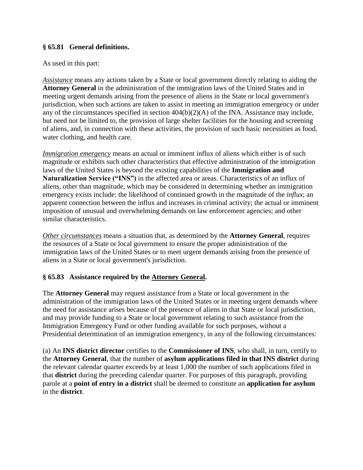# **§ 65.81 General definitions.**

### As used in this part:

*Assistance* means any actions taken by a State or local government directly relating to aiding the **Attorney General** in the administration of the immigration laws of the United States and in meeting urgent demands arising from the presence of aliens in the State or local government's jurisdiction, when such actions are taken to assist in meeting an immigration emergency or under any of the circumstances specified in section 404(b)(2)(A) of the INA. Assistance may include, but need not be limited to, the provision of large shelter facilities for the housing and screening of aliens, and, in connection with these activities, the provision of such basic necessities as food, water clothing, and health care.

*Immigration emergency* means an actual or imminent influx of aliens which either is of such magnitude or exhibits such other characteristics that effective administration of the immigration laws of the United States is beyond the existing capabilities of the **Immigration and**  Naturalization Service ("INS") in the affected area or areas. Characteristics of an influx of aliens, other than magnitude, which may be considered in determining whether an immigration emergency exists include: the likelihood of continued growth in the magnitude of the *influx*; an apparent connection between the influx and increases in criminal activity; the actual or imminent imposition of unusual and overwhelming demands on law enforcement agencies; and other similar characteristics.

*Other circumstances* means a situation that, as determined by the **Attorney General**, requires the resources of a State or local government to ensure the proper administration of the immigration laws of the United States or to meet urgent demands arising from the presence of aliens in a State or local government's jurisdiction.

# **§ 65.83 Assistance required by the Attorney General.**

The **Attorney General** may request assistance from a State or local government in the administration of the immigration laws of the United States or in meeting urgent demands where the need for assistance arises because of the presence of aliens in that State or local jurisdiction, and may provide funding to a State or local government relating to such assistance from the Immigration Emergency Fund or other funding available for such purposes, without a Presidential determination of an immigration emergency, in any of the following circumstances:

(a) An **INS district director** certifies to the **Commissioner of INS**, who shall, in turn, certify to the **Attorney General**, that the number of **asylum applications filed in that INS district** during the relevant calendar quarter exceeds by at least 1,000 the number of such applications filed in that **district** during the preceding calendar quarter. For purposes of this paragraph, providing parole at a **point of entry in a district** shall be deemed to constitute an **application for asylum** in the **district**.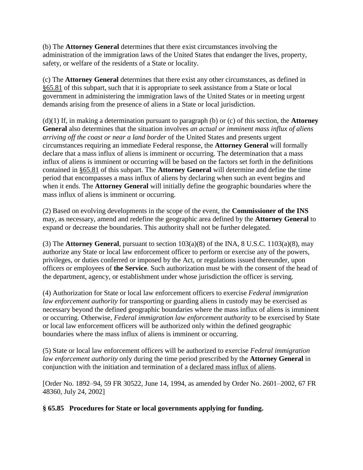(b) The **Attorney General** determines that there exist circumstances involving the administration of the immigration laws of the United States that endanger the lives, property, safety, or welfare of the residents of a State or locality.

(c) The **Attorney General** determines that there exist any other circumstances, as defined in §65.81 of this subpart, such that it is appropriate to seek assistance from a State or local government in administering the immigration laws of the United States or in meeting urgent demands arising from the presence of aliens in a State or local jurisdiction.

(d)(1) If, in making a determination pursuant to paragraph (b) or (c) of this section, the **Attorney General** also determines that the situation involves *an actual or imminent mass influx of aliens arriving off the coast or near a land border* of the United States and presents urgent circumstances requiring an immediate Federal response, the **Attorney General** will formally declare that a mass influx of aliens is imminent or occurring. The determination that a mass influx of aliens is imminent or occurring will be based on the factors set forth in the definitions contained in §65.81 of this subpart. The **Attorney General** will determine and define the time period that encompasses a mass influx of aliens by declaring when such an event begins and when it ends. The **Attorney General** will initially define the geographic boundaries where the mass influx of aliens is imminent or occurring.

(2) Based on evolving developments in the scope of the event, the **Commissioner of the INS** may, as necessary, amend and redefine the geographic area defined by the **Attorney General** to expand or decrease the boundaries. This authority shall not be further delegated.

(3) The **Attorney General**, pursuant to section 103(a)(8) of the INA, 8 U.S.C. 1103(a)(8), may authorize any State or local law enforcement officer to perform or exercise any of the powers, privileges, or duties conferred or imposed by the Act, or regulations issued thereunder, upon officers or employees of **the Service**. Such authorization must be with the consent of the head of the department, agency, or establishment under whose jurisdiction the officer is serving.

(4) Authorization for State or local law enforcement officers to exercise *Federal immigration law enforcement authority* for transporting or guarding aliens in custody may be exercised as necessary beyond the defined geographic boundaries where the mass influx of aliens is imminent or occurring. Otherwise, *Federal immigration law enforcement authority* to be exercised by State or local law enforcement officers will be authorized only within the defined geographic boundaries where the mass influx of aliens is imminent or occurring.

(5) State or local law enforcement officers will be authorized to exercise *Federal immigration law enforcement authority* only during the time period prescribed by the **Attorney General** in conjunction with the initiation and termination of a declared mass influx of aliens.

[Order No. 1892–94, 59 FR 30522, June 14, 1994, as amended by Order No. 2601–2002, 67 FR 48360, July 24, 2002]

**§ 65.85 Procedures for State or local governments applying for funding.**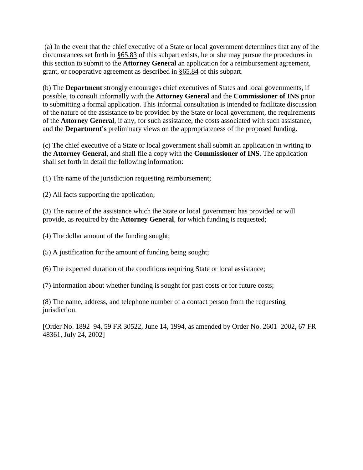(a) In the event that the chief executive of a State or local government determines that any of the circumstances set forth in §65.83 of this subpart exists, he or she may pursue the procedures in this section to submit to the **Attorney General** an application for a reimbursement agreement, grant, or cooperative agreement as described in §65.84 of this subpart.

(b) The **Department** strongly encourages chief executives of States and local governments, if possible, to consult informally with the **Attorney General** and the **Commissioner of INS** prior to submitting a formal application. This informal consultation is intended to facilitate discussion of the nature of the assistance to be provided by the State or local government, the requirements of the **Attorney General**, if any, for such assistance, the costs associated with such assistance, and the **Department's** preliminary views on the appropriateness of the proposed funding.

(c) The chief executive of a State or local government shall submit an application in writing to the **Attorney General**, and shall file a copy with the **Commissioner of INS**. The application shall set forth in detail the following information:

(1) The name of the jurisdiction requesting reimbursement;

(2) All facts supporting the application;

(3) The nature of the assistance which the State or local government has provided or will provide, as required by the **Attorney General**, for which funding is requested;

(4) The dollar amount of the funding sought;

(5) A justification for the amount of funding being sought;

(6) The expected duration of the conditions requiring State or local assistance;

(7) Information about whether funding is sought for past costs or for future costs;

(8) The name, address, and telephone number of a contact person from the requesting jurisdiction.

[Order No. 1892–94, 59 FR 30522, June 14, 1994, as amended by Order No. 2601–2002, 67 FR 48361, July 24, 2002]